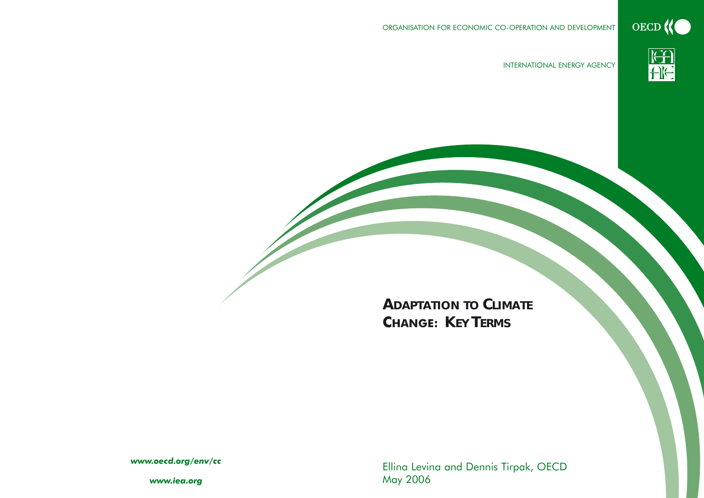ORGANISATION FOR ECONOMIC CO-OPERATION AND DEVELOPMENT





## INTERNATIONAL ENERGY AGENCY

# **ADAPTATION TO CLIMATE CHANGE: KEY TERMS**

Ellina Levina and Dennis Tirpak, OECD May 200 6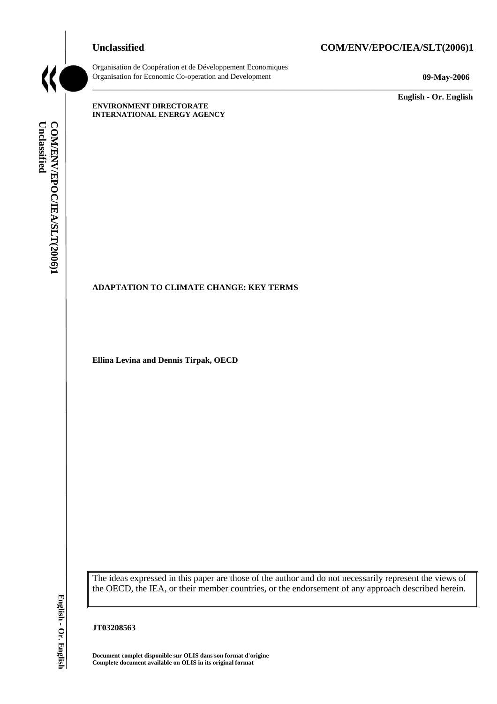#### **Unclassified COM/ENV/EPOC/IEA/SLT(2006)1**



Organisation de Coopération et de Développement Economiques Organisation for Economic Co-operation and Development **09-May-2006** 

\_\_\_\_\_\_\_\_\_\_\_\_\_\_\_\_\_\_\_\_\_\_\_\_\_\_\_\_\_\_\_\_\_\_\_\_\_\_\_\_\_\_\_\_\_\_\_\_\_\_\_\_\_\_\_\_\_\_\_\_\_\_\_\_\_\_\_\_\_\_\_\_\_\_\_\_\_\_\_\_\_\_\_\_\_\_\_\_\_\_\_

\_\_\_\_\_\_\_\_\_\_\_\_\_ **English - Or. English** 

#### **ENVIRONMENT DIRECTORATE INTERNATIONAL ENERGY AGENCY**

Unclassified COM/ENV/EPOC/IEA/SLT(2006)1 **Unclassified COM/ENV/EPOC/IEA/SLT(2006)1 English - Or. English**

#### **ADAPTATION TO CLIMATE CHANGE: KEY TERMS**

**Ellina Levina and Dennis Tirpak, OECD** 

The ideas expressed in this paper are those of the author and do not necessarily represent the views of the OECD, the IEA, or their member countries, or the endorsement of any approach described herein.

#### **JT03208563**

**Document complet disponible sur OLIS dans son format d'origine Complete document available on OLIS in its original format**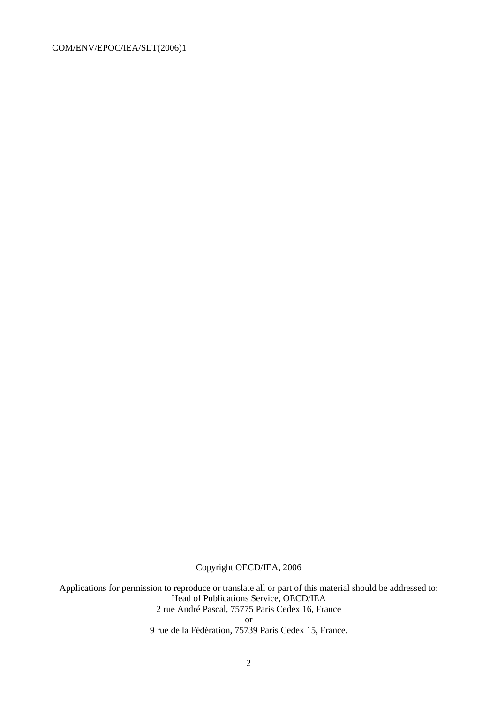Copyright OECD/IEA, 2006

Applications for permission to reproduce or translate all or part of this material should be addressed to: Head of Publications Service, OECD/IEA 2 rue André Pascal, 75775 Paris Cedex 16, France or 9 rue de la Fédération, 75739 Paris Cedex 15, France.

2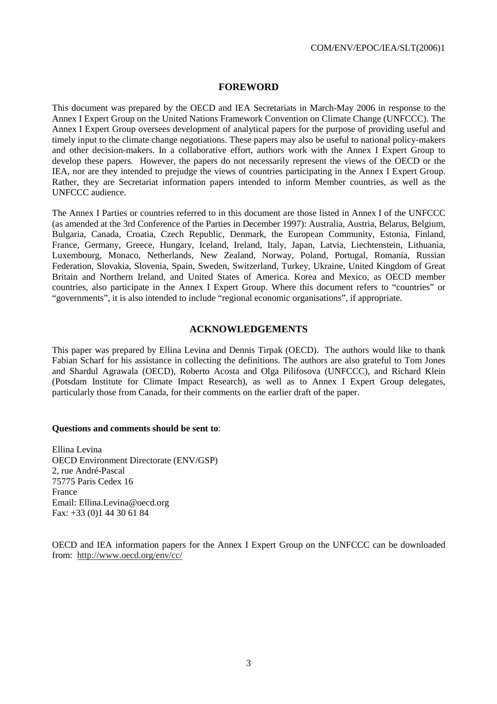#### **FOREWORD**

This document was prepared by the OECD and IEA Secretariats in March-May 2006 in response to the Annex I Expert Group on the United Nations Framework Convention on Climate Change (UNFCCC). The Annex I Expert Group oversees development of analytical papers for the purpose of providing useful and timely input to the climate change negotiations. These papers may also be useful to national policy-makers and other decision-makers. In a collaborative effort, authors work with the Annex I Expert Group to develop these papers. However, the papers do not necessarily represent the views of the OECD or the IEA, nor are they intended to prejudge the views of countries participating in the Annex I Expert Group. Rather, they are Secretariat information papers intended to inform Member countries, as well as the UNFCCC audience.

The Annex I Parties or countries referred to in this document are those listed in Annex I of the UNFCCC (as amended at the 3rd Conference of the Parties in December 1997): Australia, Austria, Belarus, Belgium, Bulgaria, Canada, Croatia, Czech Republic, Denmark, the European Community, Estonia, Finland, France, Germany, Greece, Hungary, Iceland, Ireland, Italy, Japan, Latvia, Liechtenstein, Lithuania, Luxembourg, Monaco, Netherlands, New Zealand, Norway, Poland, Portugal, Romania, Russian Federation, Slovakia, Slovenia, Spain, Sweden, Switzerland, Turkey, Ukraine, United Kingdom of Great Britain and Northern Ireland, and United States of America. Korea and Mexico, as OECD member countries, also participate in the Annex I Expert Group. Where this document refers to "countries" or "governments", it is also intended to include "regional economic organisations", if appropriate.

#### **ACKNOWLEDGEMENTS**

This paper was prepared by Ellina Levina and Dennis Tirpak (OECD). The authors would like to thank Fabian Scharf for his assistance in collecting the definitions. The authors are also grateful to Tom Jones and Shardul Agrawala (OECD), Roberto Acosta and Olga Pilifosova (UNFCCC), and Richard Klein (Potsdam Institute for Climate Impact Research), as well as to Annex I Expert Group delegates, particularly those from Canada, for their comments on the earlier draft of the paper.

#### **Questions and comments should be sent to**:

Ellina Levina OECD Environment Directorate (ENV/GSP) 2, rue André-Pascal 75775 Paris Cedex 16 France Email: Ellina.Levina@oecd.org Fax: +33 (0)1 44 30 61 84

OECD and IEA information papers for the Annex I Expert Group on the UNFCCC can be downloaded from: http://www.oecd.org/env/cc/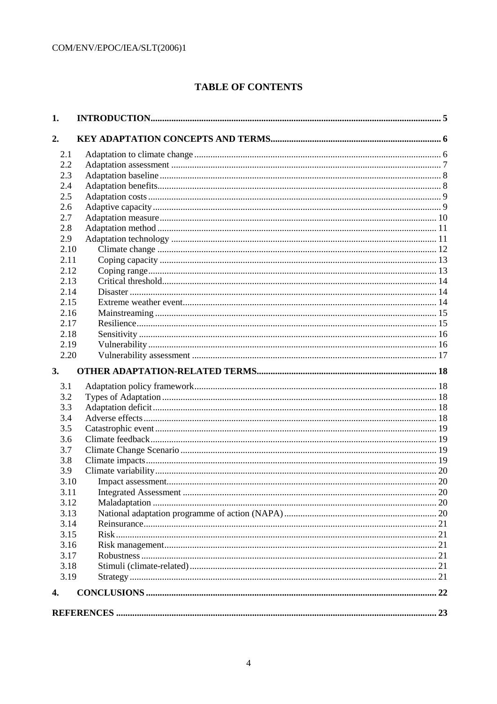# **TABLE OF CONTENTS**

| 1.           |  |
|--------------|--|
| 2.           |  |
| 2.1          |  |
| 2.2          |  |
| 2.3          |  |
| 2.4          |  |
| 2.5          |  |
| 2.6          |  |
| 2.7          |  |
| 2.8          |  |
| 2.9          |  |
| 2.10         |  |
| 2.11         |  |
| 2.12         |  |
| 2.13         |  |
| 2.14         |  |
| 2.15         |  |
| 2.16         |  |
| 2.17         |  |
| 2.18         |  |
| 2.19         |  |
| 2.20         |  |
| 3.           |  |
| 3.1          |  |
| 3.2          |  |
| 3.3          |  |
| 3.4          |  |
| 3.5          |  |
| 3.6          |  |
| 3.7          |  |
| 3.8          |  |
| 3.9          |  |
| 3.10         |  |
| 3.11         |  |
| 3.12         |  |
| 3.13         |  |
| 3.14         |  |
| 3.15         |  |
| 3.16         |  |
| 3.17<br>3.18 |  |
| 3.19         |  |
|              |  |
| 4.           |  |
|              |  |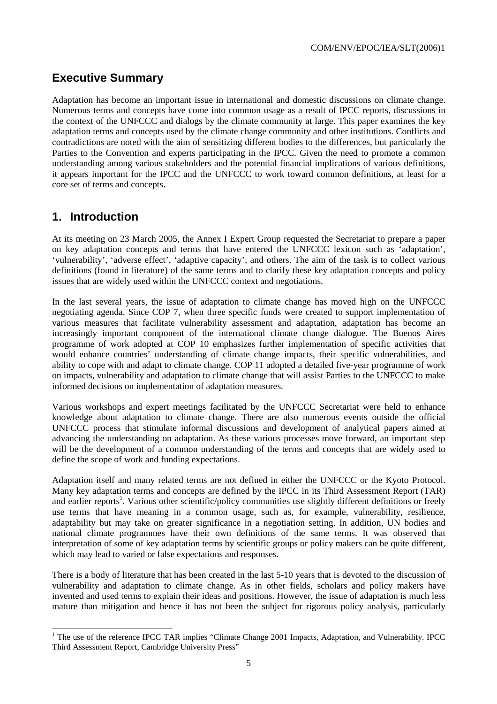# **Executive Summary**

Adaptation has become an important issue in international and domestic discussions on climate change. Numerous terms and concepts have come into common usage as a result of IPCC reports, discussions in the context of the UNFCCC and dialogs by the climate community at large. This paper examines the key adaptation terms and concepts used by the climate change community and other institutions. Conflicts and contradictions are noted with the aim of sensitizing different bodies to the differences, but particularly the Parties to the Convention and experts participating in the IPCC. Given the need to promote a common understanding among various stakeholders and the potential financial implications of various definitions, it appears important for the IPCC and the UNFCCC to work toward common definitions, at least for a core set of terms and concepts.

# **1. Introduction**

At its meeting on 23 March 2005, the Annex I Expert Group requested the Secretariat to prepare a paper on key adaptation concepts and terms that have entered the UNFCCC lexicon such as 'adaptation', 'vulnerability', 'adverse effect', 'adaptive capacity', and others. The aim of the task is to collect various definitions (found in literature) of the same terms and to clarify these key adaptation concepts and policy issues that are widely used within the UNFCCC context and negotiations.

In the last several years, the issue of adaptation to climate change has moved high on the UNFCCC negotiating agenda. Since COP 7, when three specific funds were created to support implementation of various measures that facilitate vulnerability assessment and adaptation, adaptation has become an increasingly important component of the international climate change dialogue. The Buenos Aires programme of work adopted at COP 10 emphasizes further implementation of specific activities that would enhance countries' understanding of climate change impacts, their specific vulnerabilities, and ability to cope with and adapt to climate change. COP 11 adopted a detailed five-year programme of work on impacts, vulnerability and adaptation to climate change that will assist Parties to the UNFCCC to make informed decisions on implementation of adaptation measures.

Various workshops and expert meetings facilitated by the UNFCCC Secretariat were held to enhance knowledge about adaptation to climate change. There are also numerous events outside the official UNFCCC process that stimulate informal discussions and development of analytical papers aimed at advancing the understanding on adaptation. As these various processes move forward, an important step will be the development of a common understanding of the terms and concepts that are widely used to define the scope of work and funding expectations.

Adaptation itself and many related terms are not defined in either the UNFCCC or the Kyoto Protocol. Many key adaptation terms and concepts are defined by the IPCC in its Third Assessment Report (TAR) and earlier reports<sup>1</sup>. Various other scientific/policy communities use slightly different definitions or freely use terms that have meaning in a common usage, such as, for example, vulnerability, resilience, adaptability but may take on greater significance in a negotiation setting. In addition, UN bodies and national climate programmes have their own definitions of the same terms. It was observed that interpretation of some of key adaptation terms by scientific groups or policy makers can be quite different, which may lead to varied or false expectations and responses.

There is a body of literature that has been created in the last 5-10 years that is devoted to the discussion of vulnerability and adaptation to climate change. As in other fields, scholars and policy makers have invented and used terms to explain their ideas and positions. However, the issue of adaptation is much less mature than mitigation and hence it has not been the subject for rigorous policy analysis, particularly

 $\overline{a}$ <sup>1</sup> The use of the reference IPCC TAR implies "Climate Change 2001 Impacts, Adaptation, and Vulnerability. IPCC Third Assessment Report, Cambridge University Press"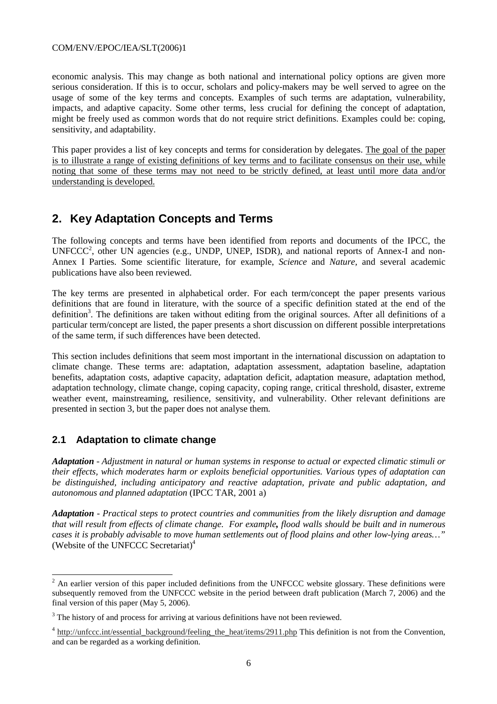economic analysis. This may change as both national and international policy options are given more serious consideration. If this is to occur, scholars and policy-makers may be well served to agree on the usage of some of the key terms and concepts. Examples of such terms are adaptation, vulnerability, impacts, and adaptive capacity. Some other terms, less crucial for defining the concept of adaptation, might be freely used as common words that do not require strict definitions. Examples could be: coping, sensitivity, and adaptability.

This paper provides a list of key concepts and terms for consideration by delegates. The goal of the paper is to illustrate a range of existing definitions of key terms and to facilitate consensus on their use, while noting that some of these terms may not need to be strictly defined, at least until more data and/or understanding is developed.

# **2. Key Adaptation Concepts and Terms**

The following concepts and terms have been identified from reports and documents of the IPCC, the UNFCCC<sup>2</sup>, other UN agencies (e.g., UNDP, UNEP, ISDR), and national reports of Annex-I and non-Annex I Parties. Some scientific literature, for example, *Science* and *Nature,* and several academic publications have also been reviewed.

The key terms are presented in alphabetical order. For each term/concept the paper presents various definitions that are found in literature, with the source of a specific definition stated at the end of the definition<sup>3</sup>. The definitions are taken without editing from the original sources. After all definitions of a particular term/concept are listed, the paper presents a short discussion on different possible interpretations of the same term, if such differences have been detected.

This section includes definitions that seem most important in the international discussion on adaptation to climate change. These terms are: adaptation, adaptation assessment, adaptation baseline, adaptation benefits, adaptation costs, adaptive capacity, adaptation deficit, adaptation measure, adaptation method, adaptation technology, climate change, coping capacity, coping range, critical threshold, disaster, extreme weather event, mainstreaming, resilience, sensitivity, and vulnerability. Other relevant definitions are presented in section 3, but the paper does not analyse them.

#### **2.1 Adaptation to climate change**

*Adaptation* - *Adjustment in natural or human systems in response to actual or expected climatic stimuli or their effects, which moderates harm or exploits beneficial opportunities. Various types of adaptation can be distinguished, including anticipatory and reactive adaptation, private and public adaptation, and autonomous and planned adaptation* (IPCC TAR, 2001 a)

*Adaptation* - *Practical steps to protect countries and communities from the likely disruption and damage that will result from effects of climate change. For example, flood walls should be built and in numerous cases it is probably advisable to move human settlements out of flood plains and other low-lying areas…"* (Website of the UNFCCC Secretariat)<sup>4</sup>

<sup>&</sup>lt;sup>2</sup> An earlier version of this paper included definitions from the UNFCCC website glossary. These definitions were subsequently removed from the UNFCCC website in the period between draft publication (March 7, 2006) and the final version of this paper (May 5, 2006).

 $3$  The history of and process for arriving at various definitions have not been reviewed.

 $^4$  http://unfccc.int/essential\_background/feeling\_the\_heat/items/2911.php This definition is not from the Convention, and can be regarded as a working definition.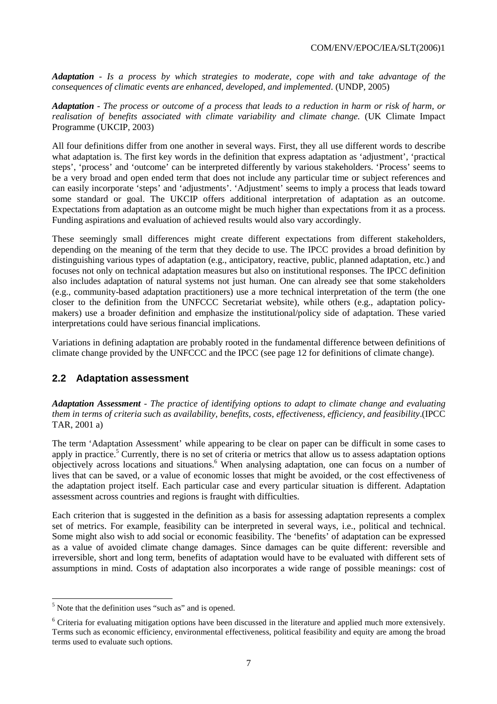*Adaptation - Is a process by which strategies to moderate, cope with and take advantage of the consequences of climatic events are enhanced, developed, and implemented*. (UNDP, 2005)

*Adaptation - The process or outcome of a process that leads to a reduction in harm or risk of harm, or realisation of benefits associated with climate variability and climate change.* (UK Climate Impact Programme (UKCIP, 2003)

All four definitions differ from one another in several ways. First, they all use different words to describe what adaptation is. The first key words in the definition that express adaptation as 'adjustment', 'practical steps', 'process' and 'outcome' can be interpreted differently by various stakeholders. 'Process' seems to be a very broad and open ended term that does not include any particular time or subject references and can easily incorporate 'steps' and 'adjustments'. 'Adjustment' seems to imply a process that leads toward some standard or goal. The UKCIP offers additional interpretation of adaptation as an outcome. Expectations from adaptation as an outcome might be much higher than expectations from it as a process. Funding aspirations and evaluation of achieved results would also vary accordingly.

These seemingly small differences might create different expectations from different stakeholders, depending on the meaning of the term that they decide to use. The IPCC provides a broad definition by distinguishing various types of adaptation (e.g., anticipatory, reactive, public, planned adaptation, etc.) and focuses not only on technical adaptation measures but also on institutional responses. The IPCC definition also includes adaptation of natural systems not just human. One can already see that some stakeholders (e.g., community-based adaptation practitioners) use a more technical interpretation of the term (the one closer to the definition from the UNFCCC Secretariat website), while others (e.g., adaptation policymakers) use a broader definition and emphasize the institutional/policy side of adaptation. These varied interpretations could have serious financial implications.

Variations in defining adaptation are probably rooted in the fundamental difference between definitions of climate change provided by the UNFCCC and the IPCC (see page 12 for definitions of climate change).

#### **2.2 Adaptation assessment**

*Adaptation Assessment - The practice of identifying options to adapt to climate change and evaluating them in terms of criteria such as availability, benefits, costs, effectiveness, efficiency, and feasibility*.(IPCC TAR, 2001 a)

The term 'Adaptation Assessment' while appearing to be clear on paper can be difficult in some cases to apply in practice.<sup>5</sup> Currently, there is no set of criteria or metrics that allow us to assess adaptation options objectively across locations and situations.<sup>6</sup> When analysing adaptation, one can focus on a number of lives that can be saved, or a value of economic losses that might be avoided, or the cost effectiveness of the adaptation project itself. Each particular case and every particular situation is different. Adaptation assessment across countries and regions is fraught with difficulties.

Each criterion that is suggested in the definition as a basis for assessing adaptation represents a complex set of metrics. For example, feasibility can be interpreted in several ways, i.e., political and technical. Some might also wish to add social or economic feasibility. The 'benefits' of adaptation can be expressed as a value of avoided climate change damages. Since damages can be quite different: reversible and irreversible, short and long term, benefits of adaptation would have to be evaluated with different sets of assumptions in mind. Costs of adaptation also incorporates a wide range of possible meanings: cost of

 $\overline{a}$ <sup>5</sup> Note that the definition uses "such as" and is opened.

<sup>&</sup>lt;sup>6</sup> Criteria for evaluating mitigation options have been discussed in the literature and applied much more extensively. Terms such as economic efficiency, environmental effectiveness, political feasibility and equity are among the broad terms used to evaluate such options.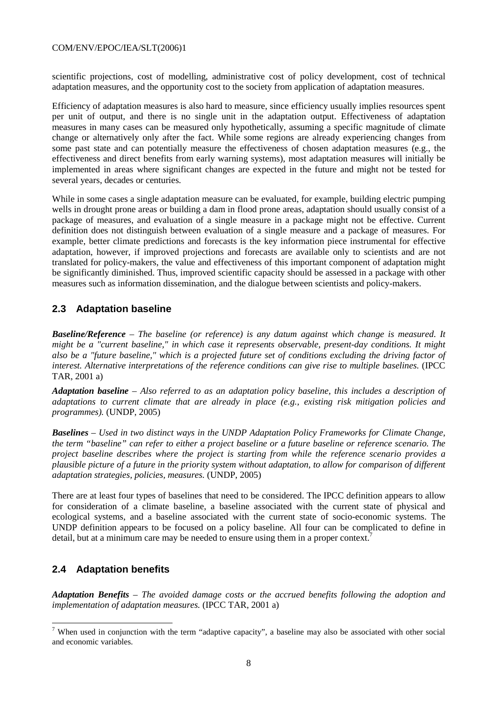scientific projections, cost of modelling, administrative cost of policy development, cost of technical adaptation measures, and the opportunity cost to the society from application of adaptation measures.

Efficiency of adaptation measures is also hard to measure, since efficiency usually implies resources spent per unit of output, and there is no single unit in the adaptation output. Effectiveness of adaptation measures in many cases can be measured only hypothetically, assuming a specific magnitude of climate change or alternatively only after the fact. While some regions are already experiencing changes from some past state and can potentially measure the effectiveness of chosen adaptation measures (e.g., the effectiveness and direct benefits from early warning systems), most adaptation measures will initially be implemented in areas where significant changes are expected in the future and might not be tested for several years, decades or centuries.

While in some cases a single adaptation measure can be evaluated, for example, building electric pumping wells in drought prone areas or building a dam in flood prone areas, adaptation should usually consist of a package of measures, and evaluation of a single measure in a package might not be effective. Current definition does not distinguish between evaluation of a single measure and a package of measures. For example, better climate predictions and forecasts is the key information piece instrumental for effective adaptation, however, if improved projections and forecasts are available only to scientists and are not translated for policy-makers, the value and effectiveness of this important component of adaptation might be significantly diminished. Thus, improved scientific capacity should be assessed in a package with other measures such as information dissemination, and the dialogue between scientists and policy-makers.

#### **2.3 Adaptation baseline**

*Baseline/Reference – The baseline (or reference) is any datum against which change is measured. It might be a "current baseline," in which case it represents observable, present-day conditions. It might also be a "future baseline," which is a projected future set of conditions excluding the driving factor of interest. Alternative interpretations of the reference conditions can give rise to multiple baselines.* (IPCC TAR, 2001 a)

*Adaptation baseline – Also referred to as an adaptation policy baseline, this includes a description of adaptations to current climate that are already in place (e.g., existing risk mitigation policies and programmes).* (UNDP, 2005)

*Baselines – Used in two distinct ways in the UNDP Adaptation Policy Frameworks for Climate Change, the term "baseline" can refer to either a project baseline or a future baseline or reference scenario. The project baseline describes where the project is starting from while the reference scenario provides a plausible picture of a future in the priority system without adaptation, to allow for comparison of different adaptation strategies, policies, measures.* (UNDP, 2005)

There are at least four types of baselines that need to be considered. The IPCC definition appears to allow for consideration of a climate baseline, a baseline associated with the current state of physical and ecological systems, and a baseline associated with the current state of socio-economic systems. The UNDP definition appears to be focused on a policy baseline. All four can be complicated to define in detail, but at a minimum care may be needed to ensure using them in a proper context.<sup>7</sup>

#### **2.4 Adaptation benefits**

 $\overline{a}$ 

*Adaptation Benefits – The avoided damage costs or the accrued benefits following the adoption and implementation of adaptation measures.* (IPCC TAR, 2001 a)

<sup>&</sup>lt;sup>7</sup> When used in conjunction with the term "adaptive capacity", a baseline may also be associated with other social and economic variables.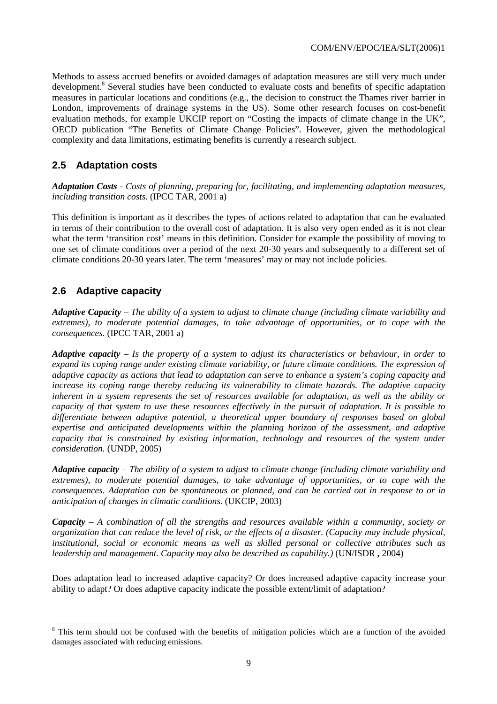Methods to assess accrued benefits or avoided damages of adaptation measures are still very much under development.<sup>8</sup> Several studies have been conducted to evaluate costs and benefits of specific adaptation measures in particular locations and conditions (e.g., the decision to construct the Thames river barrier in London, improvements of drainage systems in the US). Some other research focuses on cost-benefit evaluation methods, for example UKCIP report on "Costing the impacts of climate change in the UK", OECD publication "The Benefits of Climate Change Policies". However, given the methodological complexity and data limitations, estimating benefits is currently a research subject.

#### **2.5 Adaptation costs**

*Adaptation Costs - Costs of planning, preparing for, facilitating, and implementing adaptation measures, including transition costs.* (IPCC TAR, 2001 a)

This definition is important as it describes the types of actions related to adaptation that can be evaluated in terms of their contribution to the overall cost of adaptation. It is also very open ended as it is not clear what the term 'transition cost' means in this definition. Consider for example the possibility of moving to one set of climate conditions over a period of the next 20-30 years and subsequently to a different set of climate conditions 20-30 years later. The term 'measures' may or may not include policies.

#### **2.6 Adaptive capacity**

 $\overline{a}$ 

*Adaptive Capacity – The ability of a system to adjust to climate change (including climate variability and extremes), to moderate potential damages, to take advantage of opportunities, or to cope with the consequences.* (IPCC TAR, 2001 a)

*Adaptive capacity – Is the property of a system to adjust its characteristics or behaviour, in order to expand its coping range under existing climate variability, or future climate conditions. The expression of adaptive capacity as actions that lead to adaptation can serve to enhance a system's coping capacity and increase its coping range thereby reducing its vulnerability to climate hazards. The adaptive capacity inherent in a system represents the set of resources available for adaptation, as well as the ability or capacity of that system to use these resources effectively in the pursuit of adaptation. It is possible to differentiate between adaptive potential, a theoretical upper boundary of responses based on global expertise and anticipated developments within the planning horizon of the assessment, and adaptive capacity that is constrained by existing information, technology and resources of the system under consideration.* (UNDP, 2005)

*Adaptive capacity – The ability of a system to adjust to climate change (including climate variability and extremes), to moderate potential damages, to take advantage of opportunities, or to cope with the consequences. Adaptation can be spontaneous or planned, and can be carried out in response to or in anticipation of changes in climatic conditions.* (UKCIP, 2003)

*Capacity – A combination of all the strengths and resources available within a community, society or organization that can reduce the level of risk, or the effects of a disaster. (Capacity may include physical, institutional, social or economic means as well as skilled personal or collective attributes such as leadership and management. Capacity may also be described as capability.)* (UN/ISDR **,** 2004)

Does adaptation lead to increased adaptive capacity? Or does increased adaptive capacity increase your ability to adapt? Or does adaptive capacity indicate the possible extent/limit of adaptation?

<sup>&</sup>lt;sup>8</sup> This term should not be confused with the benefits of mitigation policies which are a function of the avoided damages associated with reducing emissions.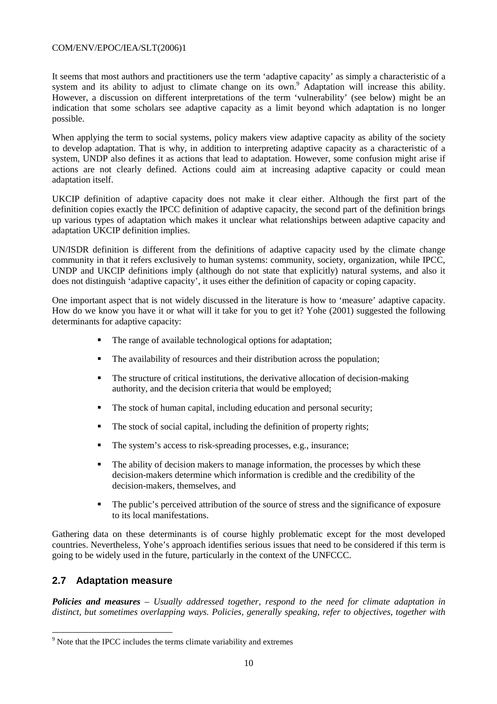It seems that most authors and practitioners use the term 'adaptive capacity' as simply a characteristic of a system and its ability to adjust to climate change on its own.<sup>9</sup> Adaptation will increase this ability. However, a discussion on different interpretations of the term 'vulnerability' (see below) might be an indication that some scholars see adaptive capacity as a limit beyond which adaptation is no longer possible.

When applying the term to social systems, policy makers view adaptive capacity as ability of the society to develop adaptation. That is why, in addition to interpreting adaptive capacity as a characteristic of a system, UNDP also defines it as actions that lead to adaptation. However, some confusion might arise if actions are not clearly defined. Actions could aim at increasing adaptive capacity or could mean adaptation itself.

UKCIP definition of adaptive capacity does not make it clear either. Although the first part of the definition copies exactly the IPCC definition of adaptive capacity, the second part of the definition brings up various types of adaptation which makes it unclear what relationships between adaptive capacity and adaptation UKCIP definition implies.

UN/ISDR definition is different from the definitions of adaptive capacity used by the climate change community in that it refers exclusively to human systems: community, society, organization, while IPCC, UNDP and UKCIP definitions imply (although do not state that explicitly) natural systems, and also it does not distinguish 'adaptive capacity', it uses either the definition of capacity or coping capacity.

One important aspect that is not widely discussed in the literature is how to 'measure' adaptive capacity. How do we know you have it or what will it take for you to get it? Yohe (2001) suggested the following determinants for adaptive capacity:

- The range of available technological options for adaptation;
- The availability of resources and their distribution across the population;
- The structure of critical institutions, the derivative allocation of decision-making authority, and the decision criteria that would be employed;
- The stock of human capital, including education and personal security;
- The stock of social capital, including the definition of property rights;
- The system's access to risk-spreading processes, e.g., insurance;
- The ability of decision makers to manage information, the processes by which these decision-makers determine which information is credible and the credibility of the decision-makers, themselves, and
- The public's perceived attribution of the source of stress and the significance of exposure to its local manifestations.

Gathering data on these determinants is of course highly problematic except for the most developed countries. Nevertheless, Yohe's approach identifies serious issues that need to be considered if this term is going to be widely used in the future, particularly in the context of the UNFCCC.

#### **2.7 Adaptation measure**

 $\overline{a}$ 

*Policies and measures – Usually addressed together, respond to the need for climate adaptation in distinct, but sometimes overlapping ways. Policies, generally speaking, refer to objectives, together with* 

<sup>&</sup>lt;sup>9</sup> Note that the IPCC includes the terms climate variability and extremes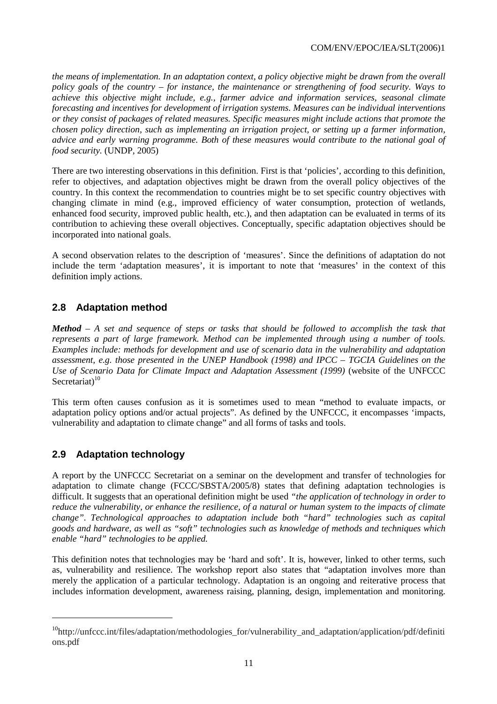*the means of implementation. In an adaptation context, a policy objective might be drawn from the overall policy goals of the country – for instance, the maintenance or strengthening of food security. Ways to achieve this objective might include, e.g., farmer advice and information services, seasonal climate forecasting and incentives for development of irrigation systems. Measures can be individual interventions or they consist of packages of related measures. Specific measures might include actions that promote the chosen policy direction, such as implementing an irrigation project, or setting up a farmer information, advice and early warning programme. Both of these measures would contribute to the national goal of food security.* (UNDP, 2005)

There are two interesting observations in this definition. First is that 'policies', according to this definition, refer to objectives, and adaptation objectives might be drawn from the overall policy objectives of the country. In this context the recommendation to countries might be to set specific country objectives with changing climate in mind (e.g., improved efficiency of water consumption, protection of wetlands, enhanced food security, improved public health, etc.), and then adaptation can be evaluated in terms of its contribution to achieving these overall objectives. Conceptually, specific adaptation objectives should be incorporated into national goals.

A second observation relates to the description of 'measures'. Since the definitions of adaptation do not include the term 'adaptation measures', it is important to note that 'measures' in the context of this definition imply actions.

#### **2.8 Adaptation method**

*Method – A set and sequence of steps or tasks that should be followed to accomplish the task that represents a part of large framework. Method can be implemented through using a number of tools. Examples include: methods for development and use of scenario data in the vulnerability and adaptation assessment, e.g. those presented in the UNEP Handbook (1998) and IPCC – TGCIA Guidelines on the Use of Scenario Data for Climate Impact and Adaptation Assessment (1999)* (website of the UNFCCC  $S**ecretariat**<sup>10</sup>$ 

This term often causes confusion as it is sometimes used to mean "method to evaluate impacts, or adaptation policy options and/or actual projects". As defined by the UNFCCC, it encompasses 'impacts, vulnerability and adaptation to climate change" and all forms of tasks and tools.

# **2.9 Adaptation technology**

 $\overline{a}$ 

A report by the UNFCCC Secretariat on a seminar on the development and transfer of technologies for adaptation to climate change (FCCC/SBSTA/2005/8) states that defining adaptation technologies is difficult. It suggests that an operational definition might be used *"the application of technology in order to reduce the vulnerability, or enhance the resilience, of a natural or human system to the impacts of climate change". Technological approaches to adaptation include both "hard" technologies such as capital goods and hardware, as well as "soft" technologies such as knowledge of methods and techniques which enable "hard" technologies to be applied.* 

This definition notes that technologies may be 'hard and soft'. It is, however, linked to other terms, such as, vulnerability and resilience. The workshop report also states that "adaptation involves more than merely the application of a particular technology. Adaptation is an ongoing and reiterative process that includes information development, awareness raising, planning, design, implementation and monitoring.

 $10$ http://unfccc.int/files/adaptation/methodologies for/vulnerability and adaptation/application/pdf/definiti ons.pdf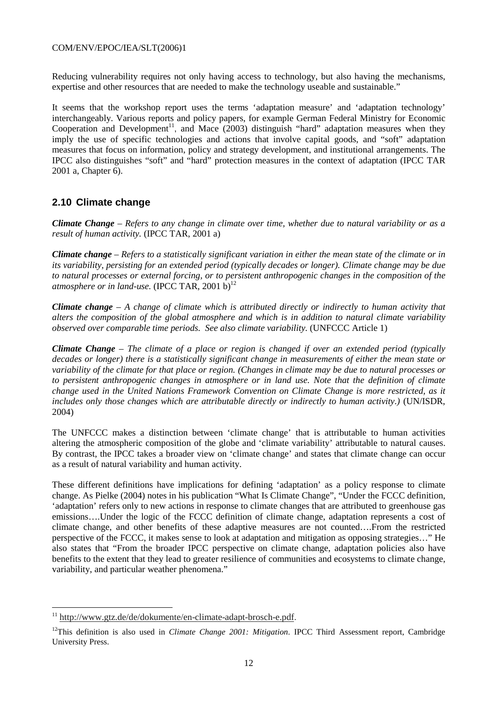Reducing vulnerability requires not only having access to technology, but also having the mechanisms, expertise and other resources that are needed to make the technology useable and sustainable."

It seems that the workshop report uses the terms 'adaptation measure' and 'adaptation technology' interchangeably. Various reports and policy papers, for example German Federal Ministry for Economic Cooperation and Development<sup>11</sup>, and Mace  $(2003)$  distinguish "hard" adaptation measures when they imply the use of specific technologies and actions that involve capital goods, and "soft" adaptation measures that focus on information, policy and strategy development, and institutional arrangements. The IPCC also distinguishes "soft" and "hard" protection measures in the context of adaptation (IPCC TAR 2001 a, Chapter 6).

#### **2.10 Climate change**

*Climate Change – Refers to any change in climate over time, whether due to natural variability or as a result of human activity.* (IPCC TAR, 2001 a)

*Climate change – Refers to a statistically significant variation in either the mean state of the climate or in its variability, persisting for an extended period (typically decades or longer). Climate change may be due to natural processes or external forcing, or to persistent anthropogenic changes in the composition of the atmosphere or in land-use.* (IPCC TAR, 2001 b)<sup>12</sup>

*Climate change – A change of climate which is attributed directly or indirectly to human activity that alters the composition of the global atmosphere and which is in addition to natural climate variability observed over comparable time periods. See also climate variability.* (UNFCCC Article 1)

*Climate Change – The climate of a place or region is changed if over an extended period (typically decades or longer) there is a statistically significant change in measurements of either the mean state or variability of the climate for that place or region. (Changes in climate may be due to natural processes or to persistent anthropogenic changes in atmosphere or in land use. Note that the definition of climate change used in the United Nations Framework Convention on Climate Change is more restricted, as it includes only those changes which are attributable directly or indirectly to human activity.)* (UN/ISDR, 2004)

The UNFCCC makes a distinction between 'climate change' that is attributable to human activities altering the atmospheric composition of the globe and 'climate variability' attributable to natural causes. By contrast, the IPCC takes a broader view on 'climate change' and states that climate change can occur as a result of natural variability and human activity.

These different definitions have implications for defining 'adaptation' as a policy response to climate change. As Pielke (2004) notes in his publication "What Is Climate Change", "Under the FCCC definition, 'adaptation' refers only to new actions in response to climate changes that are attributed to greenhouse gas emissions….Under the logic of the FCCC definition of climate change, adaptation represents a cost of climate change, and other benefits of these adaptive measures are not counted….From the restricted perspective of the FCCC, it makes sense to look at adaptation and mitigation as opposing strategies…" He also states that "From the broader IPCC perspective on climate change, adaptation policies also have benefits to the extent that they lead to greater resilience of communities and ecosystems to climate change, variability, and particular weather phenomena."

 $\overline{a}$ 

<sup>11</sup> http://www.gtz.de/de/dokumente/en-climate-adapt-brosch-e.pdf.

<sup>&</sup>lt;sup>12</sup>This definition is also used in *Climate Change 2001: Mitigation*. IPCC Third Assessment report, Cambridge University Press.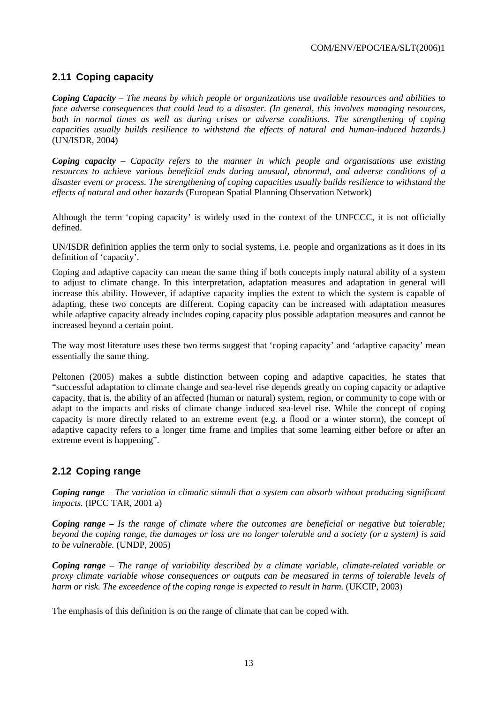# **2.11 Coping capacity**

*Coping Capacity – The means by which people or organizations use available resources and abilities to face adverse consequences that could lead to a disaster. (In general, this involves managing resources, both in normal times as well as during crises or adverse conditions. The strengthening of coping capacities usually builds resilience to withstand the effects of natural and human-induced hazards.)*  (UN/ISDR, 2004)

*Coping capacity – Capacity refers to the manner in which people and organisations use existing resources to achieve various beneficial ends during unusual, abnormal, and adverse conditions of a disaster event or process. The strengthening of coping capacities usually builds resilience to withstand the effects of natural and other hazards* (European Spatial Planning Observation Network)

Although the term 'coping capacity' is widely used in the context of the UNFCCC, it is not officially defined.

UN/ISDR definition applies the term only to social systems, i.e. people and organizations as it does in its definition of 'capacity'.

Coping and adaptive capacity can mean the same thing if both concepts imply natural ability of a system to adjust to climate change. In this interpretation, adaptation measures and adaptation in general will increase this ability. However, if adaptive capacity implies the extent to which the system is capable of adapting, these two concepts are different. Coping capacity can be increased with adaptation measures while adaptive capacity already includes coping capacity plus possible adaptation measures and cannot be increased beyond a certain point.

The way most literature uses these two terms suggest that 'coping capacity' and 'adaptive capacity' mean essentially the same thing.

Peltonen (2005) makes a subtle distinction between coping and adaptive capacities, he states that "successful adaptation to climate change and sea-level rise depends greatly on coping capacity or adaptive capacity, that is, the ability of an affected (human or natural) system, region, or community to cope with or adapt to the impacts and risks of climate change induced sea-level rise. While the concept of coping capacity is more directly related to an extreme event (e.g. a flood or a winter storm), the concept of adaptive capacity refers to a longer time frame and implies that some learning either before or after an extreme event is happening".

# **2.12 Coping range**

*Coping range – The variation in climatic stimuli that a system can absorb without producing significant impacts.* (IPCC TAR, 2001 a)

*Coping range – Is the range of climate where the outcomes are beneficial or negative but tolerable; beyond the coping range, the damages or loss are no longer tolerable and a society (or a system) is said to be vulnerable.* (UNDP, 2005)

*Coping range – The range of variability described by a climate variable, climate-related variable or proxy climate variable whose consequences or outputs can be measured in terms of tolerable levels of harm or risk. The exceedence of the coping range is expected to result in harm.* (UKCIP, 2003)

The emphasis of this definition is on the range of climate that can be coped with.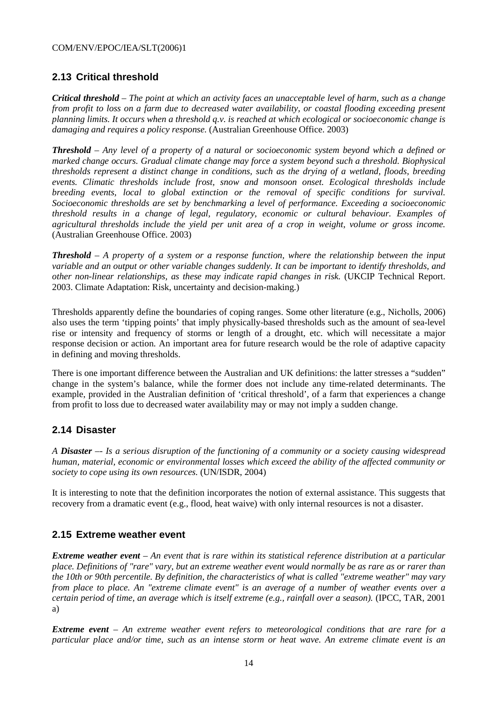## **2.13 Critical threshold**

*Critical threshold – The point at which an activity faces an unacceptable level of harm, such as a change from profit to loss on a farm due to decreased water availability, or coastal flooding exceeding present planning limits. It occurs when a threshold q.v. is reached at which ecological or socioeconomic change is damaging and requires a policy response.* (Australian Greenhouse Office. 2003)

*Threshold – Any level of a property of a natural or socioeconomic system beyond which a defined or marked change occurs. Gradual climate change may force a system beyond such a threshold. Biophysical thresholds represent a distinct change in conditions, such as the drying of a wetland, floods, breeding events. Climatic thresholds include frost, snow and monsoon onset. Ecological thresholds include breeding events, local to global extinction or the removal of specific conditions for survival. Socioeconomic thresholds are set by benchmarking a level of performance. Exceeding a socioeconomic threshold results in a change of legal, regulatory, economic or cultural behaviour. Examples of agricultural thresholds include the yield per unit area of a crop in weight, volume or gross income.*  (Australian Greenhouse Office. 2003)

*Threshold – A property of a system or a response function, where the relationship between the input variable and an output or other variable changes suddenly. It can be important to identify thresholds, and other non-linear relationships, as these may indicate rapid changes in risk.* (UKCIP Technical Report. 2003. Climate Adaptation: Risk, uncertainty and decision-making.)

Thresholds apparently define the boundaries of coping ranges. Some other literature (e.g., Nicholls, 2006) also uses the term 'tipping points' that imply physically-based thresholds such as the amount of sea-level rise or intensity and frequency of storms or length of a drought, etc. which will necessitate a major response decision or action. An important area for future research would be the role of adaptive capacity in defining and moving thresholds.

There is one important difference between the Australian and UK definitions: the latter stresses a "sudden" change in the system's balance, while the former does not include any time-related determinants. The example, provided in the Australian definition of 'critical threshold', of a farm that experiences a change from profit to loss due to decreased water availability may or may not imply a sudden change.

# **2.14 Disaster**

*A Disaster –- Is a serious disruption of the functioning of a community or a society causing widespread human, material, economic or environmental losses which exceed the ability of the affected community or society to cope using its own resources.* (UN/ISDR, 2004)

It is interesting to note that the definition incorporates the notion of external assistance. This suggests that recovery from a dramatic event (e.g., flood, heat waive) with only internal resources is not a disaster.

#### **2.15 Extreme weather event**

*Extreme weather event – An event that is rare within its statistical reference distribution at a particular place. Definitions of "rare" vary, but an extreme weather event would normally be as rare as or rarer than the 10th or 90th percentile. By definition, the characteristics of what is called "extreme weather" may vary from place to place. An "extreme climate event" is an average of a number of weather events over a certain period of time, an average which is itself extreme (e.g., rainfall over a season).* (IPCC, TAR, 2001 a)

*Extreme event – An extreme weather event refers to meteorological conditions that are rare for a particular place and/or time, such as an intense storm or heat wave. An extreme climate event is an*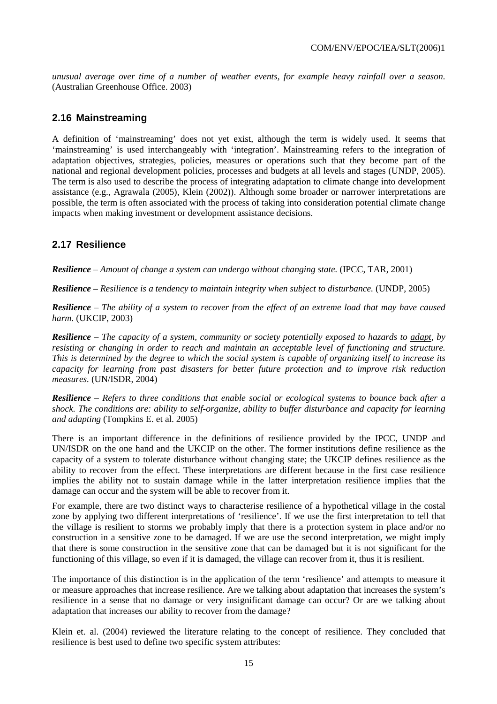*unusual average over time of a number of weather events, for example heavy rainfall over a season.*  (Australian Greenhouse Office. 2003)

#### **2.16 Mainstreaming**

A definition of 'mainstreaming' does not yet exist, although the term is widely used. It seems that 'mainstreaming' is used interchangeably with 'integration'. Mainstreaming refers to the integration of adaptation objectives, strategies, policies, measures or operations such that they become part of the national and regional development policies, processes and budgets at all levels and stages (UNDP, 2005). The term is also used to describe the process of integrating adaptation to climate change into development assistance (e.g., Agrawala (2005), Klein (2002)). Although some broader or narrower interpretations are possible, the term is often associated with the process of taking into consideration potential climate change impacts when making investment or development assistance decisions.

#### **2.17 Resilience**

*Resilience – Amount of change a system can undergo without changing state.* (IPCC, TAR, 2001)

*Resilience – Resilience is a tendency to maintain integrity when subject to disturbance.* (UNDP, 2005)

*Resilience – The ability of a system to recover from the effect of an extreme load that may have caused harm.* (UKCIP, 2003)

*Resilience – The capacity of a system, community or society potentially exposed to hazards to adapt, by resisting or changing in order to reach and maintain an acceptable level of functioning and structure. This is determined by the degree to which the social system is capable of organizing itself to increase its capacity for learning from past disasters for better future protection and to improve risk reduction measures.* (UN/ISDR, 2004)

*Resilience – Refers to three conditions that enable social or ecological systems to bounce back after a shock. The conditions are: ability to self-organize, ability to buffer disturbance and capacity for learning and adapting* (Tompkins E. et al. 2005)

There is an important difference in the definitions of resilience provided by the IPCC, UNDP and UN/ISDR on the one hand and the UKCIP on the other. The former institutions define resilience as the capacity of a system to tolerate disturbance without changing state; the UKCIP defines resilience as the ability to recover from the effect. These interpretations are different because in the first case resilience implies the ability not to sustain damage while in the latter interpretation resilience implies that the damage can occur and the system will be able to recover from it.

For example, there are two distinct ways to characterise resilience of a hypothetical village in the costal zone by applying two different interpretations of 'resilience'. If we use the first interpretation to tell that the village is resilient to storms we probably imply that there is a protection system in place and/or no construction in a sensitive zone to be damaged. If we are use the second interpretation, we might imply that there is some construction in the sensitive zone that can be damaged but it is not significant for the functioning of this village, so even if it is damaged, the village can recover from it, thus it is resilient.

The importance of this distinction is in the application of the term 'resilience' and attempts to measure it or measure approaches that increase resilience. Are we talking about adaptation that increases the system's resilience in a sense that no damage or very insignificant damage can occur? Or are we talking about adaptation that increases our ability to recover from the damage?

Klein et. al. (2004) reviewed the literature relating to the concept of resilience. They concluded that resilience is best used to define two specific system attributes: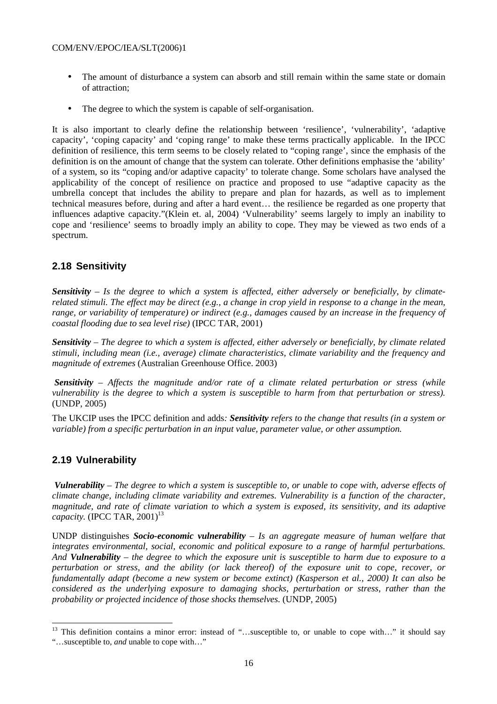- The amount of disturbance a system can absorb and still remain within the same state or domain of attraction;
- The degree to which the system is capable of self-organisation.

It is also important to clearly define the relationship between 'resilience', 'vulnerability', 'adaptive capacity', 'coping capacity' and 'coping range' to make these terms practically applicable. In the IPCC definition of resilience, this term seems to be closely related to "coping range', since the emphasis of the definition is on the amount of change that the system can tolerate. Other definitions emphasise the 'ability' of a system, so its "coping and/or adaptive capacity' to tolerate change. Some scholars have analysed the applicability of the concept of resilience on practice and proposed to use "adaptive capacity as the umbrella concept that includes the ability to prepare and plan for hazards, as well as to implement technical measures before, during and after a hard event… the resilience be regarded as one property that influences adaptive capacity."(Klein et. al, 2004) 'Vulnerability' seems largely to imply an inability to cope and 'resilience' seems to broadly imply an ability to cope. They may be viewed as two ends of a spectrum.

# **2.18 Sensitivity**

*Sensitivity – Is the degree to which a system is affected, either adversely or beneficially, by climaterelated stimuli. The effect may be direct (e.g., a change in crop yield in response to a change in the mean, range, or variability of temperature) or indirect (e.g., damages caused by an increase in the frequency of coastal flooding due to sea level rise)* (IPCC TAR, 2001)

*Sensitivity – The degree to which a system is affected, either adversely or beneficially, by climate related stimuli, including mean (i.e., average) climate characteristics, climate variability and the frequency and magnitude of extremes* (Australian Greenhouse Office. 2003)

*Sensitivity – Affects the magnitude and/or rate of a climate related perturbation or stress (while vulnerability is the degree to which a system is susceptible to harm from that perturbation or stress).* (UNDP, 2005)

The UKCIP uses the IPCC definition and adds*: Sensitivity refers to the change that results (in a system or variable) from a specific perturbation in an input value, parameter value, or other assumption.* 

# **2.19 Vulnerability**

*Vulnerability – The degree to which a system is susceptible to, or unable to cope with, adverse effects of climate change, including climate variability and extremes. Vulnerability is a function of the character, magnitude, and rate of climate variation to which a system is exposed, its sensitivity, and its adaptive capacity.* (IPCC TAR, 2001)<sup>13</sup>

UNDP distinguishes *Socio-economic vulnerability – Is an aggregate measure of human welfare that integrates environmental, social, economic and political exposure to a range of harmful perturbations. And Vulnerability – the degree to which the exposure unit is susceptible to harm due to exposure to a perturbation or stress, and the ability (or lack thereof) of the exposure unit to cope, recover, or fundamentally adapt (become a new system or become extinct) (Kasperson et al., 2000) It can also be considered as the underlying exposure to damaging shocks, perturbation or stress, rather than the probability or projected incidence of those shocks themselves.* (UNDP, 2005)

 $\overline{a}$ <sup>13</sup> This definition contains a minor error: instead of "...susceptible to, or unable to cope with..." it should say "…susceptible to, *and* unable to cope with…"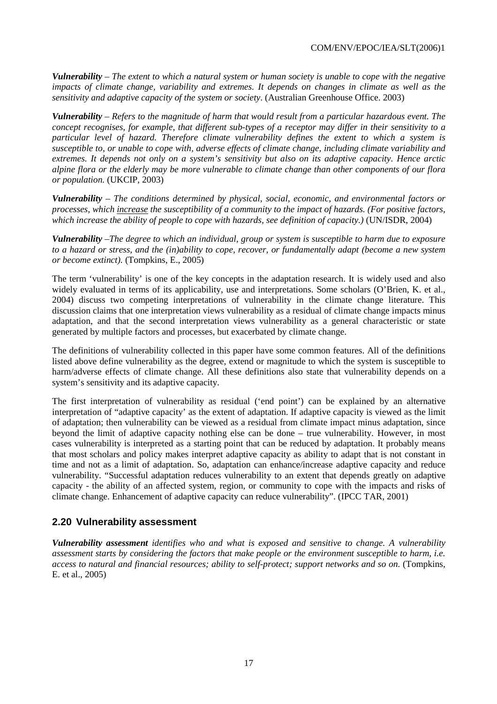*Vulnerability – The extent to which a natural system or human society is unable to cope with the negative impacts of climate change, variability and extremes. It depends on changes in climate as well as the sensitivity and adaptive capacity of the system or society*. (Australian Greenhouse Office. 2003)

*Vulnerability – Refers to the magnitude of harm that would result from a particular hazardous event. The concept recognises, for example, that different sub-types of a receptor may differ in their sensitivity to a particular level of hazard. Therefore climate vulnerability defines the extent to which a system is susceptible to, or unable to cope with, adverse effects of climate change, including climate variability and extremes. It depends not only on a system's sensitivity but also on its adaptive capacity. Hence arctic alpine flora or the elderly may be more vulnerable to climate change than other components of our flora or population.* (UKCIP, 2003)

*Vulnerability – The conditions determined by physical, social, economic, and environmental factors or processes, which increase the susceptibility of a community to the impact of hazards. (For positive factors, which increase the ability of people to cope with hazards, see definition of capacity.)* (UN/ISDR, 2004)

*Vulnerability –The degree to which an individual, group or system is susceptible to harm due to exposure to a hazard or stress, and the (in)ability to cope, recover, or fundamentally adapt (become a new system or become extinct).* (Tompkins, E., 2005)

The term 'vulnerability' is one of the key concepts in the adaptation research. It is widely used and also widely evaluated in terms of its applicability, use and interpretations. Some scholars (O'Brien, K. et al., 2004) discuss two competing interpretations of vulnerability in the climate change literature. This discussion claims that one interpretation views vulnerability as a residual of climate change impacts minus adaptation, and that the second interpretation views vulnerability as a general characteristic or state generated by multiple factors and processes, but exacerbated by climate change.

The definitions of vulnerability collected in this paper have some common features. All of the definitions listed above define vulnerability as the degree, extend or magnitude to which the system is susceptible to harm/adverse effects of climate change. All these definitions also state that vulnerability depends on a system's sensitivity and its adaptive capacity.

The first interpretation of vulnerability as residual ('end point') can be explained by an alternative interpretation of "adaptive capacity' as the extent of adaptation. If adaptive capacity is viewed as the limit of adaptation; then vulnerability can be viewed as a residual from climate impact minus adaptation, since beyond the limit of adaptive capacity nothing else can be done – true vulnerability. However, in most cases vulnerability is interpreted as a starting point that can be reduced by adaptation. It probably means that most scholars and policy makes interpret adaptive capacity as ability to adapt that is not constant in time and not as a limit of adaptation. So, adaptation can enhance/increase adaptive capacity and reduce vulnerability. "Successful adaptation reduces vulnerability to an extent that depends greatly on adaptive capacity - the ability of an affected system, region, or community to cope with the impacts and risks of climate change. Enhancement of adaptive capacity can reduce vulnerability". (IPCC TAR, 2001)

#### **2.20 Vulnerability assessment**

*Vulnerability assessment identifies who and what is exposed and sensitive to change. A vulnerability assessment starts by considering the factors that make people or the environment susceptible to harm, i.e. access to natural and financial resources; ability to self-protect; support networks and so on.* (Tompkins, E. et al., 2005)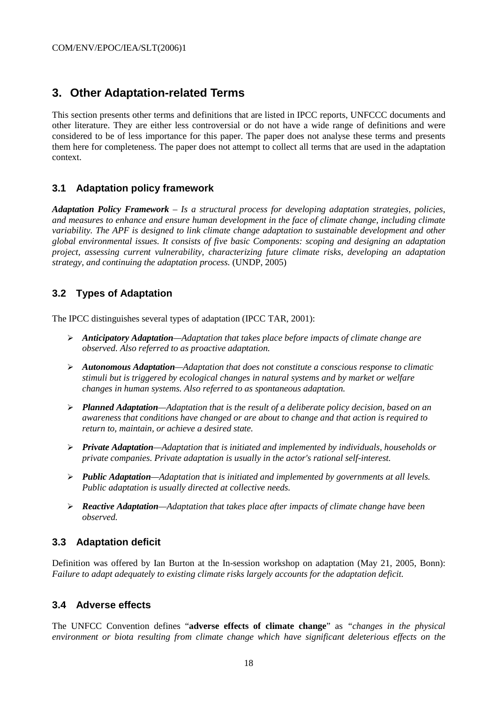# **3. Other Adaptation-related Terms**

This section presents other terms and definitions that are listed in IPCC reports, UNFCCC documents and other literature. They are either less controversial or do not have a wide range of definitions and were considered to be of less importance for this paper. The paper does not analyse these terms and presents them here for completeness. The paper does not attempt to collect all terms that are used in the adaptation context.

#### **3.1 Adaptation policy framework**

*Adaptation Policy Framework – Is a structural process for developing adaptation strategies, policies, and measures to enhance and ensure human development in the face of climate change, including climate variability. The APF is designed to link climate change adaptation to sustainable development and other global environmental issues. It consists of five basic Components: scoping and designing an adaptation project, assessing current vulnerability, characterizing future climate risks, developing an adaptation strategy, and continuing the adaptation process.* (UNDP, 2005)

# **3.2 Types of Adaptation**

The IPCC distinguishes several types of adaptation (IPCC TAR, 2001):

- ¾ *Anticipatory Adaptation—Adaptation that takes place before impacts of climate change are observed. Also referred to as proactive adaptation.*
- ¾ *Autonomous Adaptation—Adaptation that does not constitute a conscious response to climatic stimuli but is triggered by ecological changes in natural systems and by market or welfare changes in human systems. Also referred to as spontaneous adaptation.*
- ¾ *Planned Adaptation—Adaptation that is the result of a deliberate policy decision, based on an awareness that conditions have changed or are about to change and that action is required to return to, maintain, or achieve a desired state.*
- ¾ *Private Adaptation—Adaptation that is initiated and implemented by individuals, households or private companies. Private adaptation is usually in the actor's rational self-interest.*
- ¾ *Public Adaptation—Adaptation that is initiated and implemented by governments at all levels. Public adaptation is usually directed at collective needs.*
- ¾ *Reactive Adaptation—Adaptation that takes place after impacts of climate change have been observed.*

# **3.3 Adaptation deficit**

Definition was offered by Ian Burton at the In-session workshop on adaptation (May 21, 2005, Bonn): *Failure to adapt adequately to existing climate risks largely accounts for the adaptation deficit.* 

#### **3.4 Adverse effects**

The UNFCC Convention defines "**adverse effects of climate change**" as *"changes in the physical environment or biota resulting from climate change which have significant deleterious effects on the*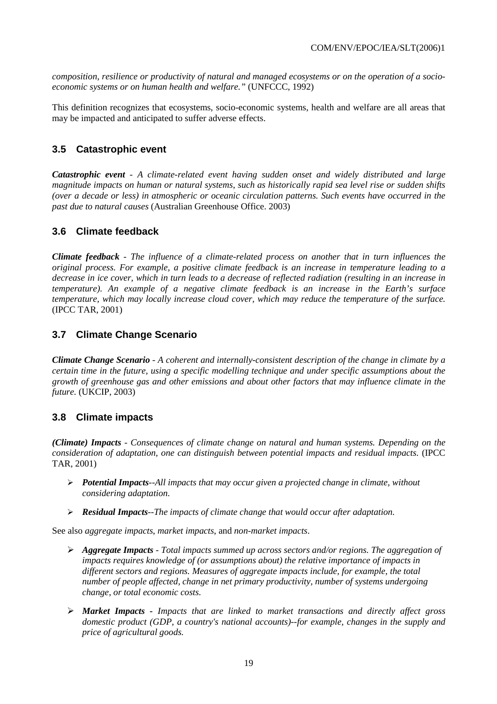*composition, resilience or productivity of natural and managed ecosystems or on the operation of a socioeconomic systems or on human health and welfare."* (UNFCCC, 1992)

This definition recognizes that ecosystems, socio-economic systems, health and welfare are all areas that may be impacted and anticipated to suffer adverse effects.

#### **3.5 Catastrophic event**

*Catastrophic event - A climate-related event having sudden onset and widely distributed and large magnitude impacts on human or natural systems, such as historically rapid sea level rise or sudden shifts (over a decade or less) in atmospheric or oceanic circulation patterns. Such events have occurred in the past due to natural causes* (Australian Greenhouse Office. 2003)

#### **3.6 Climate feedback**

*Climate feedback - The influence of a climate-related process on another that in turn influences the original process. For example, a positive climate feedback is an increase in temperature leading to a decrease in ice cover, which in turn leads to a decrease of reflected radiation (resulting in an increase in temperature). An example of a negative climate feedback is an increase in the Earth's surface temperature, which may locally increase cloud cover, which may reduce the temperature of the surface.*  (IPCC TAR, 2001)

#### **3.7 Climate Change Scenario**

*Climate Change Scenario - A coherent and internally-consistent description of the change in climate by a certain time in the future, using a specific modelling technique and under specific assumptions about the growth of greenhouse gas and other emissions and about other factors that may influence climate in the future.* (UKCIP, 2003)

#### **3.8 Climate impacts**

*(Climate) Impacts - Consequences of climate change on natural and human systems. Depending on the consideration of adaptation, one can distinguish between potential impacts and residual impacts.* (IPCC TAR, 2001)

- ¾ *Potential Impacts--All impacts that may occur given a projected change in climate, without considering adaptation.*
- ¾ *Residual Impacts--The impacts of climate change that would occur after adaptation.*

See also *aggregate impacts*, *market impacts*, and *non-market impacts*.

- ¾ *Aggregate Impacts Total impacts summed up across sectors and/or regions. The aggregation of impacts requires knowledge of (or assumptions about) the relative importance of impacts in different sectors and regions. Measures of aggregate impacts include, for example, the total number of people affected, change in net primary productivity, number of systems undergoing change, or total economic costs.*
- ¾ *Market Impacts Impacts that are linked to market transactions and directly affect gross domestic product (GDP, a country's national accounts)--for example, changes in the supply and price of agricultural goods.*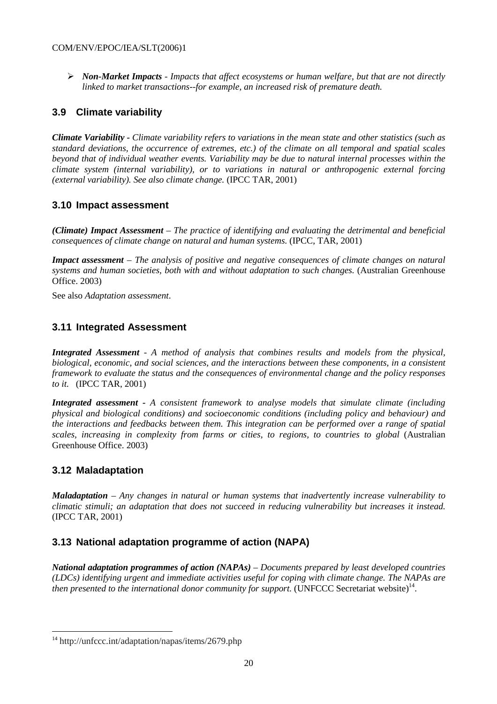¾ *Non-Market Impacts - Impacts that affect ecosystems or human welfare, but that are not directly linked to market transactions--for example, an increased risk of premature death.* 

#### **3.9 Climate variability**

*Climate Variability - Climate variability refers to variations in the mean state and other statistics (such as standard deviations, the occurrence of extremes, etc.) of the climate on all temporal and spatial scales beyond that of individual weather events. Variability may be due to natural internal processes within the climate system (internal variability), or to variations in natural or anthropogenic external forcing (external variability). See also climate change.* (IPCC TAR, 2001)

#### **3.10 Impact assessment**

*(Climate) Impact Assessment – The practice of identifying and evaluating the detrimental and beneficial consequences of climate change on natural and human systems.* (IPCC, TAR, 2001)

*Impact assessment – The analysis of positive and negative consequences of climate changes on natural systems and human societies, both with and without adaptation to such changes.* (Australian Greenhouse Office. 2003)

See also *Adaptation assessment*.

#### **3.11 Integrated Assessment**

*Integrated Assessment - A method of analysis that combines results and models from the physical, biological, economic, and social sciences, and the interactions between these components, in a consistent framework to evaluate the status and the consequences of environmental change and the policy responses to it.* (IPCC TAR, 2001)

*Integrated assessment - A consistent framework to analyse models that simulate climate (including physical and biological conditions) and socioeconomic conditions (including policy and behaviour) and the interactions and feedbacks between them. This integration can be performed over a range of spatial scales, increasing in complexity from farms or cities, to regions, to countries to global* (Australian Greenhouse Office. 2003)

#### **3.12 Maladaptation**

 $\overline{a}$ 

*Maladaptation – Any changes in natural or human systems that inadvertently increase vulnerability to climatic stimuli; an adaptation that does not succeed in reducing vulnerability but increases it instead.*  (IPCC TAR, 2001)

#### **3.13 National adaptation programme of action (NAPA)**

*National adaptation programmes of action (NAPAs) – Documents prepared by least developed countries (LDCs) identifying urgent and immediate activities useful for coping with climate change. The NAPAs are then presented to the international donor community for support.* (UNFCCC Secretariat website)<sup>14</sup>.

<sup>&</sup>lt;sup>14</sup> http://unfccc.int/adaptation/napas/items/2679.php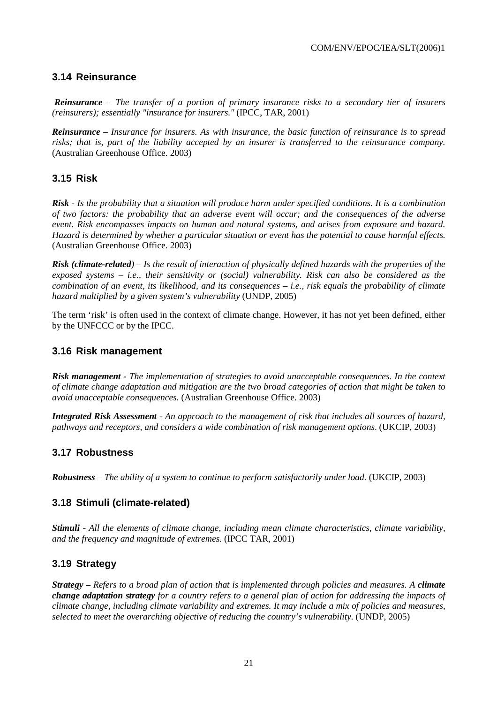#### **3.14 Reinsurance**

*Reinsurance – The transfer of a portion of primary insurance risks to a secondary tier of insurers (reinsurers); essentially "insurance for insurers."* (IPCC, TAR, 2001)

*Reinsurance – Insurance for insurers. As with insurance, the basic function of reinsurance is to spread risks; that is, part of the liability accepted by an insurer is transferred to the reinsurance company.*  (Australian Greenhouse Office. 2003)

#### **3.15 Risk**

*Risk - Is the probability that a situation will produce harm under specified conditions. It is a combination of two factors: the probability that an adverse event will occur; and the consequences of the adverse event. Risk encompasses impacts on human and natural systems, and arises from exposure and hazard. Hazard is determined by whether a particular situation or event has the potential to cause harmful effects.*  (Australian Greenhouse Office. 2003)

*Risk (climate-related) – Is the result of interaction of physically defined hazards with the properties of the exposed systems – i.e., their sensitivity or (social) vulnerability. Risk can also be considered as the combination of an event, its likelihood, and its consequences – i.e., risk equals the probability of climate hazard multiplied by a given system's vulnerability* (UNDP, 2005)

The term 'risk' is often used in the context of climate change. However, it has not yet been defined, either by the UNFCCC or by the IPCC.

#### **3.16 Risk management**

*Risk management - The implementation of strategies to avoid unacceptable consequences. In the context of climate change adaptation and mitigation are the two broad categories of action that might be taken to avoid unacceptable consequences.* (Australian Greenhouse Office. 2003)

*Integrated Risk Assessment - An approach to the management of risk that includes all sources of hazard, pathways and receptors, and considers a wide combination of risk management options*. (UKCIP, 2003)

#### **3.17 Robustness**

*Robustness – The ability of a system to continue to perform satisfactorily under load.* (UKCIP, 2003)

#### **3.18 Stimuli (climate-related)**

*Stimuli - All the elements of climate change, including mean climate characteristics, climate variability, and the frequency and magnitude of extremes.* (IPCC TAR, 2001)

#### **3.19 Strategy**

*Strategy – Refers to a broad plan of action that is implemented through policies and measures. A climate change adaptation strategy for a country refers to a general plan of action for addressing the impacts of climate change, including climate variability and extremes. It may include a mix of policies and measures, selected to meet the overarching objective of reducing the country's vulnerability.* (UNDP, 2005)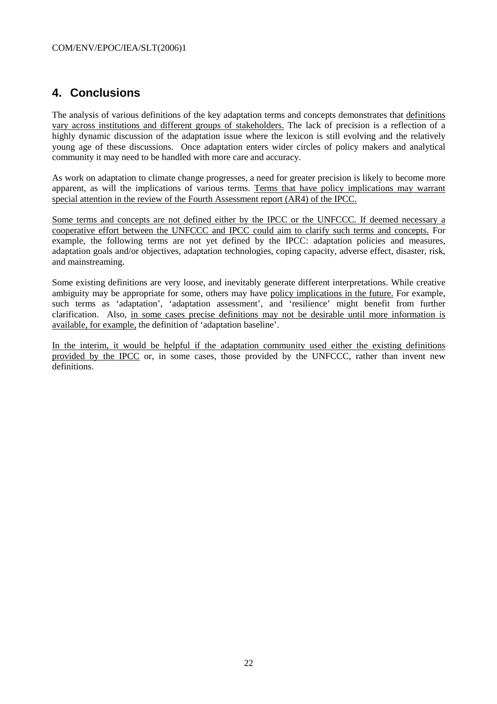# **4. Conclusions**

The analysis of various definitions of the key adaptation terms and concepts demonstrates that definitions vary across institutions and different groups of stakeholders. The lack of precision is a reflection of a highly dynamic discussion of the adaptation issue where the lexicon is still evolving and the relatively young age of these discussions. Once adaptation enters wider circles of policy makers and analytical community it may need to be handled with more care and accuracy.

As work on adaptation to climate change progresses, a need for greater precision is likely to become more apparent, as will the implications of various terms. Terms that have policy implications may warrant special attention in the review of the Fourth Assessment report (AR4) of the IPCC.

Some terms and concepts are not defined either by the IPCC or the UNFCCC. If deemed necessary a cooperative effort between the UNFCCC and IPCC could aim to clarify such terms and concepts. For example, the following terms are not yet defined by the IPCC: adaptation policies and measures, adaptation goals and/or objectives, adaptation technologies, coping capacity, adverse effect, disaster, risk, and mainstreaming.

Some existing definitions are very loose, and inevitably generate different interpretations. While creative ambiguity may be appropriate for some, others may have policy implications in the future. For example, such terms as 'adaptation', 'adaptation assessment', and 'resilience' might benefit from further clarification. Also, in some cases precise definitions may not be desirable until more information is available, for example, the definition of 'adaptation baseline'.

In the interim, it would be helpful if the adaptation community used either the existing definitions provided by the IPCC or, in some cases, those provided by the UNFCCC, rather than invent new definitions.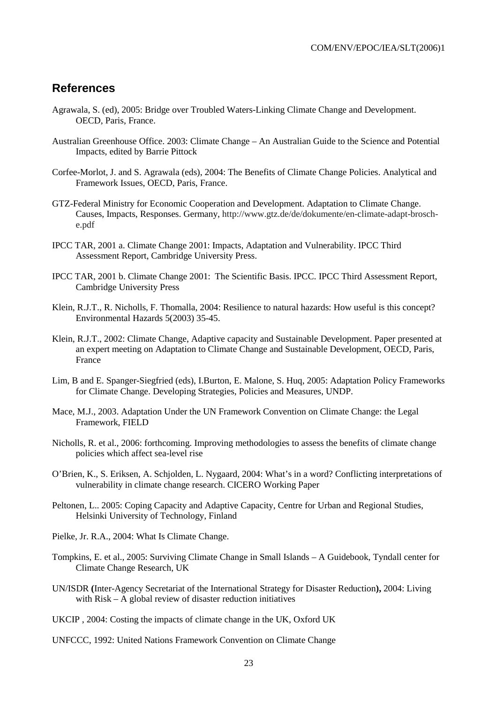# **References**

- Agrawala, S. (ed), 2005: Bridge over Troubled Waters-Linking Climate Change and Development. OECD, Paris, France.
- Australian Greenhouse Office. 2003: Climate Change An Australian Guide to the Science and Potential Impacts, edited by Barrie Pittock
- Corfee-Morlot, J. and S. Agrawala (eds), 2004: The Benefits of Climate Change Policies. Analytical and Framework Issues, OECD, Paris, France.
- GTZ-Federal Ministry for Economic Cooperation and Development. Adaptation to Climate Change. Causes, Impacts, Responses. Germany, http://www.gtz.de/de/dokumente/en-climate-adapt-brosche.pdf
- IPCC TAR, 2001 a. Climate Change 2001: Impacts, Adaptation and Vulnerability. IPCC Third Assessment Report, Cambridge University Press.
- IPCC TAR, 2001 b. Climate Change 2001: The Scientific Basis. IPCC. IPCC Third Assessment Report, Cambridge University Press
- Klein, R.J.T., R. Nicholls, F. Thomalla, 2004: Resilience to natural hazards: How useful is this concept? Environmental Hazards 5(2003) 35-45.
- Klein, R.J.T., 2002: Climate Change, Adaptive capacity and Sustainable Development. Paper presented at an expert meeting on Adaptation to Climate Change and Sustainable Development, OECD, Paris, France
- Lim, B and E. Spanger-Siegfried (eds), I.Burton, E. Malone, S. Huq, 2005: Adaptation Policy Frameworks for Climate Change. Developing Strategies, Policies and Measures, UNDP.
- Mace, M.J., 2003. Adaptation Under the UN Framework Convention on Climate Change: the Legal Framework, FIELD
- Nicholls, R. et al., 2006: forthcoming. Improving methodologies to assess the benefits of climate change policies which affect sea-level rise
- O'Brien, K., S. Eriksen, A. Schjolden, L. Nygaard, 2004: What's in a word? Conflicting interpretations of vulnerability in climate change research. CICERO Working Paper
- Peltonen, L.. 2005: Coping Capacity and Adaptive Capacity, Centre for Urban and Regional Studies, Helsinki University of Technology, Finland
- Pielke, Jr. R.A., 2004: What Is Climate Change.
- Tompkins, E. et al., 2005: Surviving Climate Change in Small Islands A Guidebook, Tyndall center for Climate Change Research, UK
- UN/ISDR **(**Inter-Agency Secretariat of the International Strategy for Disaster Reduction**),** 2004: Living with Risk – A global review of disaster reduction initiatives
- UKCIP , 2004: Costing the impacts of climate change in the UK, Oxford UK

UNFCCC, 1992: United Nations Framework Convention on Climate Change